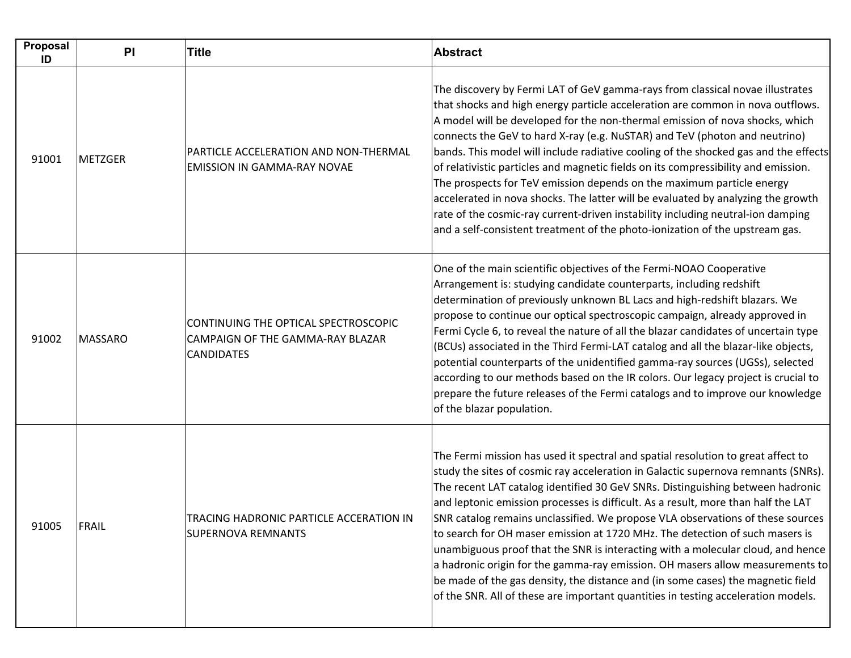| Proposal<br>ID | PI             | <b>Title</b>                                                                                  | <b>Abstract</b>                                                                                                                                                                                                                                                                                                                                                                                                                                                                                                                                                                                                                                                                                                                                                                                                                                            |
|----------------|----------------|-----------------------------------------------------------------------------------------------|------------------------------------------------------------------------------------------------------------------------------------------------------------------------------------------------------------------------------------------------------------------------------------------------------------------------------------------------------------------------------------------------------------------------------------------------------------------------------------------------------------------------------------------------------------------------------------------------------------------------------------------------------------------------------------------------------------------------------------------------------------------------------------------------------------------------------------------------------------|
| 91001          | <b>METZGER</b> | PARTICLE ACCELERATION AND NON-THERMAL<br><b>EMISSION IN GAMMA-RAY NOVAE</b>                   | The discovery by Fermi LAT of GeV gamma-rays from classical novae illustrates<br>that shocks and high energy particle acceleration are common in nova outflows.<br>A model will be developed for the non-thermal emission of nova shocks, which<br>connects the GeV to hard X-ray (e.g. NuSTAR) and TeV (photon and neutrino)<br>bands. This model will include radiative cooling of the shocked gas and the effects<br>of relativistic particles and magnetic fields on its compressibility and emission.<br>The prospects for TeV emission depends on the maximum particle energy<br>accelerated in nova shocks. The latter will be evaluated by analyzing the growth<br>rate of the cosmic-ray current-driven instability including neutral-ion damping<br>and a self-consistent treatment of the photo-ionization of the upstream gas.                 |
| 91002          | MASSARO        | CONTINUING THE OPTICAL SPECTROSCOPIC<br>CAMPAIGN OF THE GAMMA-RAY BLAZAR<br><b>CANDIDATES</b> | One of the main scientific objectives of the Fermi-NOAO Cooperative<br>Arrangement is: studying candidate counterparts, including redshift<br>determination of previously unknown BL Lacs and high-redshift blazars. We<br>propose to continue our optical spectroscopic campaign, already approved in<br>Fermi Cycle 6, to reveal the nature of all the blazar candidates of uncertain type<br>(BCUs) associated in the Third Fermi-LAT catalog and all the blazar-like objects,<br>potential counterparts of the unidentified gamma-ray sources (UGSs), selected<br>according to our methods based on the IR colors. Our legacy project is crucial to<br>prepare the future releases of the Fermi catalogs and to improve our knowledge<br>of the blazar population.                                                                                     |
| 91005          | FRAIL          | TRACING HADRONIC PARTICLE ACCERATION IN<br><b>SUPERNOVA REMNANTS</b>                          | The Fermi mission has used it spectral and spatial resolution to great affect to<br>study the sites of cosmic ray acceleration in Galactic supernova remnants (SNRs).<br>The recent LAT catalog identified 30 GeV SNRs. Distinguishing between hadronic<br>and leptonic emission processes is difficult. As a result, more than half the LAT<br>SNR catalog remains unclassified. We propose VLA observations of these sources<br>to search for OH maser emission at 1720 MHz. The detection of such masers is<br>unambiguous proof that the SNR is interacting with a molecular cloud, and hence<br>a hadronic origin for the gamma-ray emission. OH masers allow measurements to<br>be made of the gas density, the distance and (in some cases) the magnetic field<br>of the SNR. All of these are important quantities in testing acceleration models. |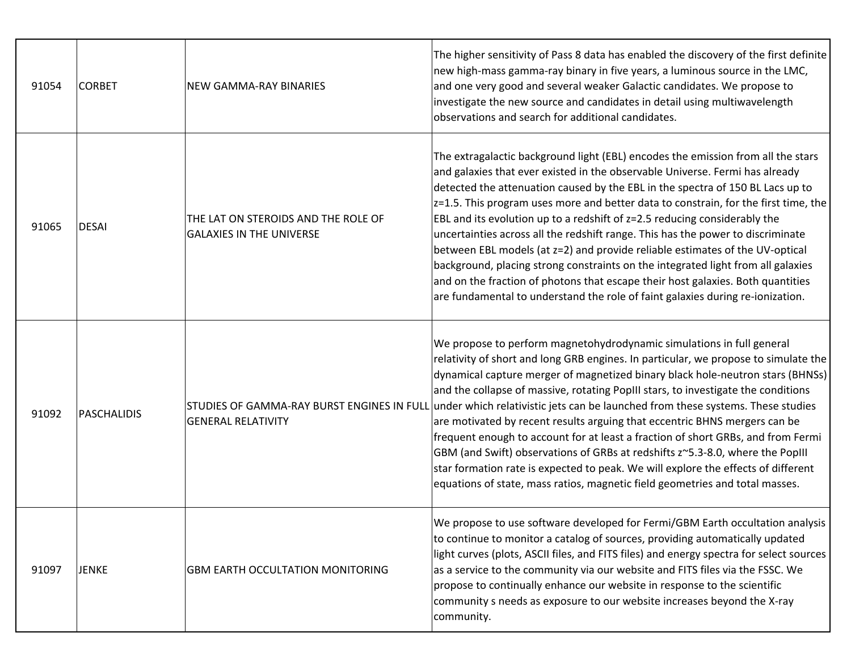| 91054 | <b>CORBET</b> | NEW GAMMA-RAY BINARIES                                                 | The higher sensitivity of Pass 8 data has enabled the discovery of the first definite<br>new high-mass gamma-ray binary in five years, a luminous source in the LMC,<br>and one very good and several weaker Galactic candidates. We propose to<br>investigate the new source and candidates in detail using multiwavelength<br>observations and search for additional candidates.                                                                                                                                                                                                                                                                                                                                                                                                                                                                                                        |
|-------|---------------|------------------------------------------------------------------------|-------------------------------------------------------------------------------------------------------------------------------------------------------------------------------------------------------------------------------------------------------------------------------------------------------------------------------------------------------------------------------------------------------------------------------------------------------------------------------------------------------------------------------------------------------------------------------------------------------------------------------------------------------------------------------------------------------------------------------------------------------------------------------------------------------------------------------------------------------------------------------------------|
| 91065 | <b>DESAI</b>  | THE LAT ON STEROIDS AND THE ROLE OF<br><b>GALAXIES IN THE UNIVERSE</b> | The extragalactic background light (EBL) encodes the emission from all the stars<br>and galaxies that ever existed in the observable Universe. Fermi has already<br>detected the attenuation caused by the EBL in the spectra of 150 BL Lacs up to<br>$ z=1.5$ . This program uses more and better data to constrain, for the first time, the<br>EBL and its evolution up to a redshift of $z=2.5$ reducing considerably the<br>uncertainties across all the redshift range. This has the power to discriminate<br>between EBL models (at z=2) and provide reliable estimates of the UV-optical<br>background, placing strong constraints on the integrated light from all galaxies<br>and on the fraction of photons that escape their host galaxies. Both quantities<br>are fundamental to understand the role of faint galaxies during re-ionization.                                  |
| 91092 | PASCHALIDIS   | <b>GENERAL RELATIVITY</b>                                              | We propose to perform magnetohydrodynamic simulations in full general<br>relativity of short and long GRB engines. In particular, we propose to simulate the<br>dynamical capture merger of magnetized binary black hole-neutron stars (BHNSs)<br>and the collapse of massive, rotating PopIII stars, to investigate the conditions<br>STUDIES OF GAMMA-RAY BURST ENGINES IN FULL under which relativistic jets can be launched from these systems. These studies<br>are motivated by recent results arguing that eccentric BHNS mergers can be<br>frequent enough to account for at least a fraction of short GRBs, and from Fermi<br>GBM (and Swift) observations of GRBs at redshifts z~5.3-8.0, where the PopIII<br>star formation rate is expected to peak. We will explore the effects of different<br>equations of state, mass ratios, magnetic field geometries and total masses. |
| 91097 | <b>JENKE</b>  | <b>GBM EARTH OCCULTATION MONITORING</b>                                | We propose to use software developed for Fermi/GBM Earth occultation analysis<br>to continue to monitor a catalog of sources, providing automatically updated<br>light curves (plots, ASCII files, and FITS files) and energy spectra for select sources<br>as a service to the community via our website and FITS files via the FSSC. We<br>propose to continually enhance our website in response to the scientific<br>community s needs as exposure to our website increases beyond the X-ray<br>community.                                                                                                                                                                                                                                                                                                                                                                            |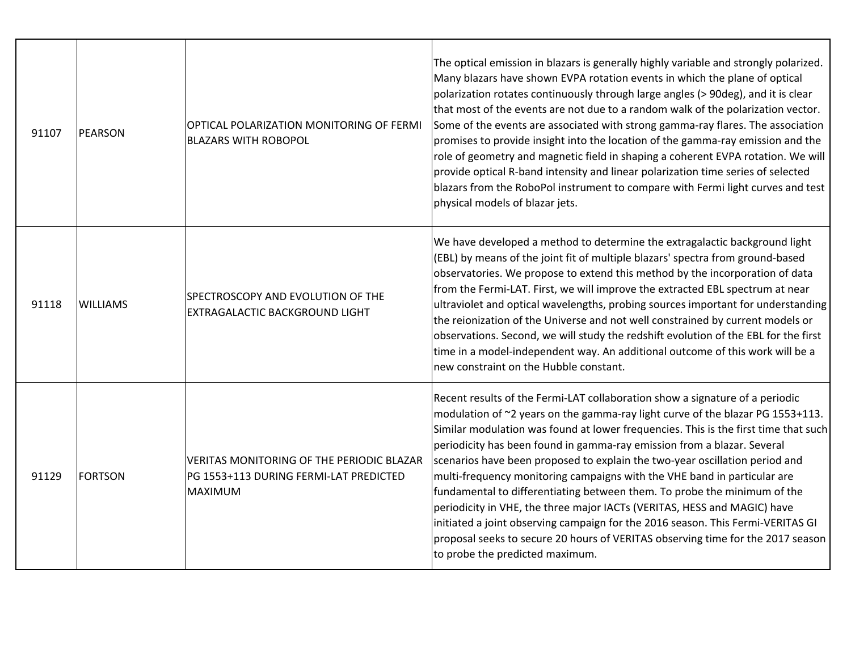| 91107 | PEARSON         | OPTICAL POLARIZATION MONITORING OF FERMI<br><b>BLAZARS WITH ROBOPOL</b>                               | The optical emission in blazars is generally highly variable and strongly polarized.<br>Many blazars have shown EVPA rotation events in which the plane of optical<br>polarization rotates continuously through large angles (> 90deg), and it is clear<br>that most of the events are not due to a random walk of the polarization vector.<br>Some of the events are associated with strong gamma-ray flares. The association<br>promises to provide insight into the location of the gamma-ray emission and the<br>role of geometry and magnetic field in shaping a coherent EVPA rotation. We will<br>provide optical R-band intensity and linear polarization time series of selected<br>blazars from the RoboPol instrument to compare with Fermi light curves and test<br>physical models of blazar jets.                                              |
|-------|-----------------|-------------------------------------------------------------------------------------------------------|--------------------------------------------------------------------------------------------------------------------------------------------------------------------------------------------------------------------------------------------------------------------------------------------------------------------------------------------------------------------------------------------------------------------------------------------------------------------------------------------------------------------------------------------------------------------------------------------------------------------------------------------------------------------------------------------------------------------------------------------------------------------------------------------------------------------------------------------------------------|
| 91118 | <b>WILLIAMS</b> | SPECTROSCOPY AND EVOLUTION OF THE<br>EXTRAGALACTIC BACKGROUND LIGHT                                   | We have developed a method to determine the extragalactic background light<br>(EBL) by means of the joint fit of multiple blazars' spectra from ground-based<br>observatories. We propose to extend this method by the incorporation of data<br>from the Fermi-LAT. First, we will improve the extracted EBL spectrum at near<br>ultraviolet and optical wavelengths, probing sources important for understanding<br>the reionization of the Universe and not well constrained by current models or<br>observations. Second, we will study the redshift evolution of the EBL for the first<br>time in a model-independent way. An additional outcome of this work will be a<br>new constraint on the Hubble constant.                                                                                                                                        |
| 91129 | <b>FORTSON</b>  | VERITAS MONITORING OF THE PERIODIC BLAZAR<br>PG 1553+113 DURING FERMI-LAT PREDICTED<br><b>MAXIMUM</b> | Recent results of the Fermi-LAT collaboration show a signature of a periodic<br>modulation of ~2 years on the gamma-ray light curve of the blazar PG 1553+113.<br>Similar modulation was found at lower frequencies. This is the first time that such<br>periodicity has been found in gamma-ray emission from a blazar. Several<br>scenarios have been proposed to explain the two-year oscillation period and<br>multi-frequency monitoring campaigns with the VHE band in particular are<br>fundamental to differentiating between them. To probe the minimum of the<br>periodicity in VHE, the three major IACTs (VERITAS, HESS and MAGIC) have<br>initiated a joint observing campaign for the 2016 season. This Fermi-VERITAS GI<br>proposal seeks to secure 20 hours of VERITAS observing time for the 2017 season<br>to probe the predicted maximum. |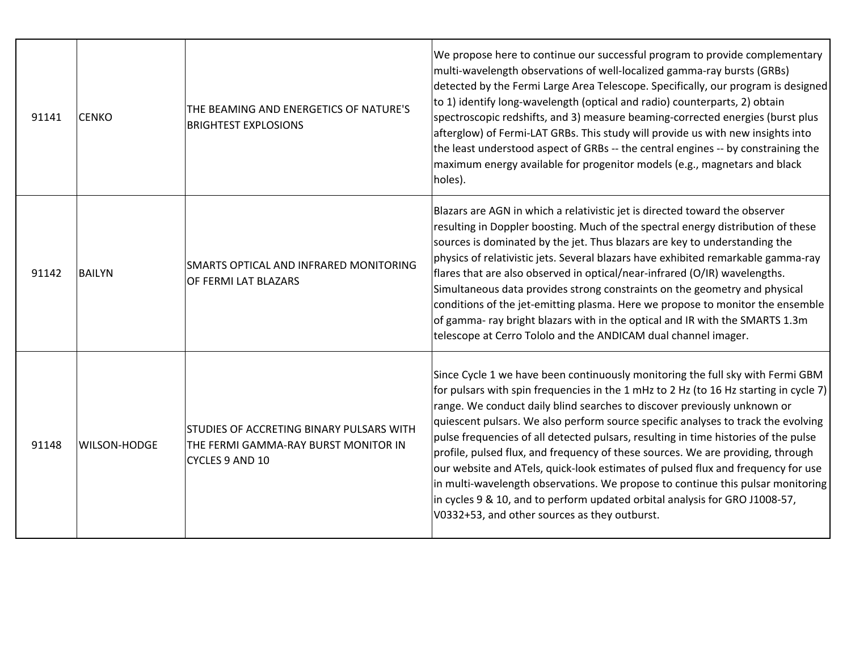| 91141 | <b>CENKO</b>        | THE BEAMING AND ENERGETICS OF NATURE'S<br><b>BRIGHTEST EXPLOSIONS</b>                               | We propose here to continue our successful program to provide complementary<br>multi-wavelength observations of well-localized gamma-ray bursts (GRBs)<br>detected by the Fermi Large Area Telescope. Specifically, our program is designed<br>to 1) identify long-wavelength (optical and radio) counterparts, 2) obtain<br>spectroscopic redshifts, and 3) measure beaming-corrected energies (burst plus<br>afterglow) of Fermi-LAT GRBs. This study will provide us with new insights into<br>the least understood aspect of GRBs -- the central engines -- by constraining the<br>maximum energy available for progenitor models (e.g., magnetars and black<br>holes).                                                                                                                                               |
|-------|---------------------|-----------------------------------------------------------------------------------------------------|---------------------------------------------------------------------------------------------------------------------------------------------------------------------------------------------------------------------------------------------------------------------------------------------------------------------------------------------------------------------------------------------------------------------------------------------------------------------------------------------------------------------------------------------------------------------------------------------------------------------------------------------------------------------------------------------------------------------------------------------------------------------------------------------------------------------------|
| 91142 | <b>BAILYN</b>       | SMARTS OPTICAL AND INFRARED MONITORING<br>OF FERMI LAT BLAZARS                                      | Blazars are AGN in which a relativistic jet is directed toward the observer<br>resulting in Doppler boosting. Much of the spectral energy distribution of these<br>sources is dominated by the jet. Thus blazars are key to understanding the<br>physics of relativistic jets. Several blazars have exhibited remarkable gamma-ray<br>flares that are also observed in optical/near-infrared (O/IR) wavelengths.<br>Simultaneous data provides strong constraints on the geometry and physical<br>conditions of the jet-emitting plasma. Here we propose to monitor the ensemble<br>of gamma- ray bright blazars with in the optical and IR with the SMARTS 1.3m<br>telescope at Cerro Tololo and the ANDICAM dual channel imager.                                                                                        |
| 91148 | <b>WILSON-HODGE</b> | STUDIES OF ACCRETING BINARY PULSARS WITH<br>THE FERMI GAMMA-RAY BURST MONITOR IN<br>CYCLES 9 AND 10 | Since Cycle 1 we have been continuously monitoring the full sky with Fermi GBM<br>for pulsars with spin frequencies in the 1 mHz to 2 Hz (to 16 Hz starting in cycle 7)<br>range. We conduct daily blind searches to discover previously unknown or<br>quiescent pulsars. We also perform source specific analyses to track the evolving<br>pulse frequencies of all detected pulsars, resulting in time histories of the pulse<br>profile, pulsed flux, and frequency of these sources. We are providing, through<br>our website and ATels, quick-look estimates of pulsed flux and frequency for use<br>in multi-wavelength observations. We propose to continue this pulsar monitoring<br>in cycles 9 & 10, and to perform updated orbital analysis for GRO J1008-57,<br>V0332+53, and other sources as they outburst. |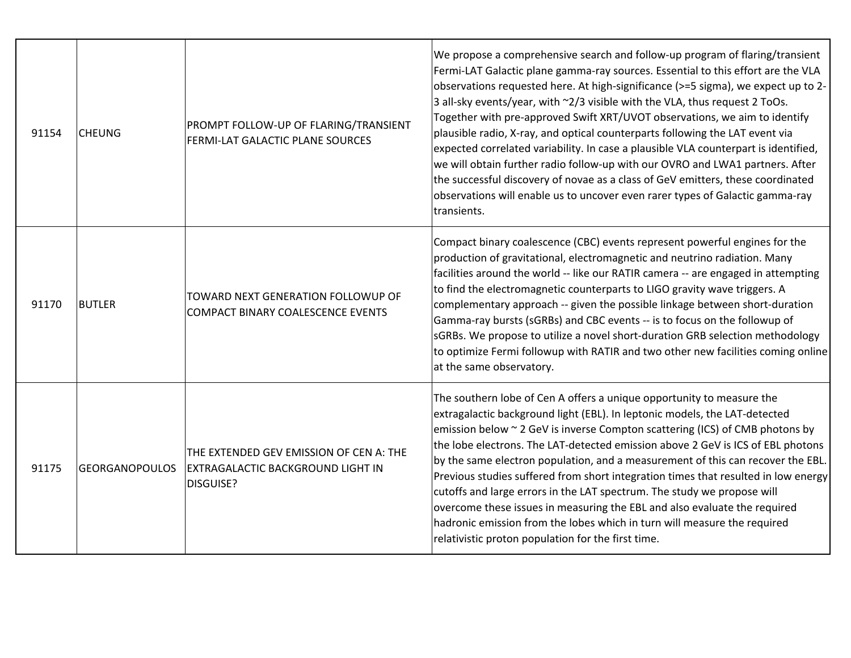| 91154 | <b>CHEUNG</b>         | PROMPT FOLLOW-UP OF FLARING/TRANSIENT<br>FERMI-LAT GALACTIC PLANE SOURCES                 | We propose a comprehensive search and follow-up program of flaring/transient<br>Fermi-LAT Galactic plane gamma-ray sources. Essential to this effort are the VLA<br>observations requested here. At high-significance (>=5 sigma), we expect up to 2-<br>3 all-sky events/year, with ~2/3 visible with the VLA, thus request 2 ToOs.<br>Together with pre-approved Swift XRT/UVOT observations, we aim to identify<br>plausible radio, X-ray, and optical counterparts following the LAT event via<br>expected correlated variability. In case a plausible VLA counterpart is identified,<br>we will obtain further radio follow-up with our OVRO and LWA1 partners. After<br>the successful discovery of novae as a class of GeV emitters, these coordinated<br>observations will enable us to uncover even rarer types of Galactic gamma-ray<br>transients. |
|-------|-----------------------|-------------------------------------------------------------------------------------------|---------------------------------------------------------------------------------------------------------------------------------------------------------------------------------------------------------------------------------------------------------------------------------------------------------------------------------------------------------------------------------------------------------------------------------------------------------------------------------------------------------------------------------------------------------------------------------------------------------------------------------------------------------------------------------------------------------------------------------------------------------------------------------------------------------------------------------------------------------------|
| 91170 | <b>BUTLER</b>         | TOWARD NEXT GENERATION FOLLOWUP OF<br>COMPACT BINARY COALESCENCE EVENTS                   | Compact binary coalescence (CBC) events represent powerful engines for the<br>production of gravitational, electromagnetic and neutrino radiation. Many<br>facilities around the world -- like our RATIR camera -- are engaged in attempting<br>to find the electromagnetic counterparts to LIGO gravity wave triggers. A<br>complementary approach -- given the possible linkage between short-duration<br>Gamma-ray bursts (sGRBs) and CBC events -- is to focus on the followup of<br>sGRBs. We propose to utilize a novel short-duration GRB selection methodology<br>to optimize Fermi followup with RATIR and two other new facilities coming online<br>at the same observatory.                                                                                                                                                                        |
| 91175 | <b>GEORGANOPOULOS</b> | THE EXTENDED GEV EMISSION OF CEN A: THE<br>EXTRAGALACTIC BACKGROUND LIGHT IN<br>DISGUISE? | The southern lobe of Cen A offers a unique opportunity to measure the<br>extragalactic background light (EBL). In leptonic models, the LAT-detected<br>emission below $\sim$ 2 GeV is inverse Compton scattering (ICS) of CMB photons by<br>the lobe electrons. The LAT-detected emission above 2 GeV is ICS of EBL photons<br>by the same electron population, and a measurement of this can recover the EBL.<br>Previous studies suffered from short integration times that resulted in low energy<br>cutoffs and large errors in the LAT spectrum. The study we propose will<br>overcome these issues in measuring the EBL and also evaluate the required<br>hadronic emission from the lobes which in turn will measure the required<br>relativistic proton population for the first time.                                                                |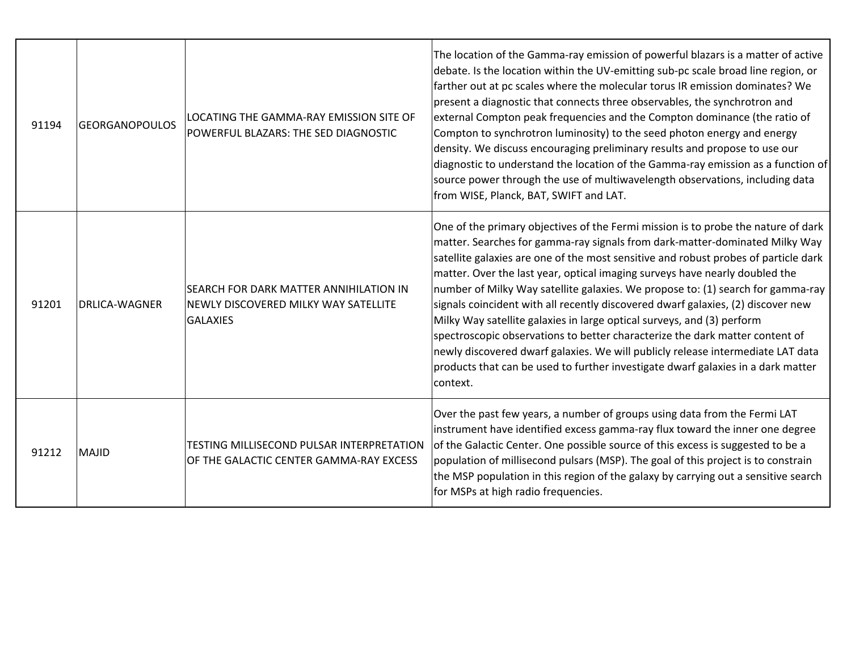| 91194 | <b>GEORGANOPOULOS</b> | LOCATING THE GAMMA-RAY EMISSION SITE OF<br>POWERFUL BLAZARS: THE SED DIAGNOSTIC                          | The location of the Gamma-ray emission of powerful blazars is a matter of active<br>debate. Is the location within the UV-emitting sub-pc scale broad line region, or<br>farther out at pc scales where the molecular torus IR emission dominates? We<br>present a diagnostic that connects three observables, the synchrotron and<br>external Compton peak frequencies and the Compton dominance (the ratio of<br>Compton to synchrotron luminosity) to the seed photon energy and energy                                                                                                                                                                                                                                                                                                                                                                 |
|-------|-----------------------|----------------------------------------------------------------------------------------------------------|------------------------------------------------------------------------------------------------------------------------------------------------------------------------------------------------------------------------------------------------------------------------------------------------------------------------------------------------------------------------------------------------------------------------------------------------------------------------------------------------------------------------------------------------------------------------------------------------------------------------------------------------------------------------------------------------------------------------------------------------------------------------------------------------------------------------------------------------------------|
|       |                       |                                                                                                          | density. We discuss encouraging preliminary results and propose to use our<br>diagnostic to understand the location of the Gamma-ray emission as a function of<br>source power through the use of multiwavelength observations, including data<br>from WISE, Planck, BAT, SWIFT and LAT.                                                                                                                                                                                                                                                                                                                                                                                                                                                                                                                                                                   |
| 91201 | <b>DRLICA-WAGNER</b>  | <b>SEARCH FOR DARK MATTER ANNIHILATION IN</b><br>NEWLY DISCOVERED MILKY WAY SATELLITE<br><b>GALAXIES</b> | One of the primary objectives of the Fermi mission is to probe the nature of dark<br>matter. Searches for gamma-ray signals from dark-matter-dominated Milky Way<br>satellite galaxies are one of the most sensitive and robust probes of particle dark<br>matter. Over the last year, optical imaging surveys have nearly doubled the<br>number of Milky Way satellite galaxies. We propose to: (1) search for gamma-ray<br>signals coincident with all recently discovered dwarf galaxies, (2) discover new<br>Milky Way satellite galaxies in large optical surveys, and (3) perform<br>spectroscopic observations to better characterize the dark matter content of<br>newly discovered dwarf galaxies. We will publicly release intermediate LAT data<br>products that can be used to further investigate dwarf galaxies in a dark matter<br>context. |
| 91212 | <b>MAJID</b>          | TESTING MILLISECOND PULSAR INTERPRETATION<br>OF THE GALACTIC CENTER GAMMA-RAY EXCESS                     | Over the past few years, a number of groups using data from the Fermi LAT<br>instrument have identified excess gamma-ray flux toward the inner one degree<br>of the Galactic Center. One possible source of this excess is suggested to be a<br>population of millisecond pulsars (MSP). The goal of this project is to constrain<br>the MSP population in this region of the galaxy by carrying out a sensitive search<br>for MSPs at high radio frequencies.                                                                                                                                                                                                                                                                                                                                                                                             |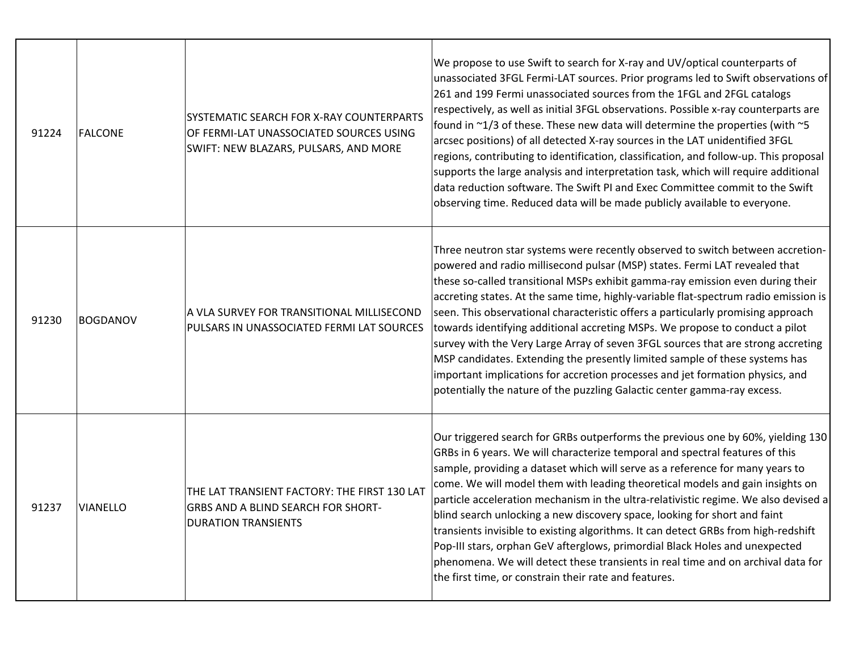| 91224 | <b>FALCONE</b>  | SYSTEMATIC SEARCH FOR X-RAY COUNTERPARTS<br>OF FERMI-LAT UNASSOCIATED SOURCES USING<br>SWIFT: NEW BLAZARS, PULSARS, AND MORE | We propose to use Swift to search for X-ray and UV/optical counterparts of<br>unassociated 3FGL Fermi-LAT sources. Prior programs led to Swift observations of<br>261 and 199 Fermi unassociated sources from the 1FGL and 2FGL catalogs<br>respectively, as well as initial 3FGL observations. Possible x-ray counterparts are<br>found in ~1/3 of these. These new data will determine the properties (with ~5<br>arcsec positions) of all detected X-ray sources in the LAT unidentified 3FGL<br>regions, contributing to identification, classification, and follow-up. This proposal<br>supports the large analysis and interpretation task, which will require additional<br>data reduction software. The Swift PI and Exec Committee commit to the Swift<br>observing time. Reduced data will be made publicly available to everyone. |
|-------|-----------------|------------------------------------------------------------------------------------------------------------------------------|----------------------------------------------------------------------------------------------------------------------------------------------------------------------------------------------------------------------------------------------------------------------------------------------------------------------------------------------------------------------------------------------------------------------------------------------------------------------------------------------------------------------------------------------------------------------------------------------------------------------------------------------------------------------------------------------------------------------------------------------------------------------------------------------------------------------------------------------|
| 91230 | <b>BOGDANOV</b> | A VLA SURVEY FOR TRANSITIONAL MILLISECOND<br>PULSARS IN UNASSOCIATED FERMI LAT SOURCES                                       | Three neutron star systems were recently observed to switch between accretion-<br>powered and radio millisecond pulsar (MSP) states. Fermi LAT revealed that<br>these so-called transitional MSPs exhibit gamma-ray emission even during their<br>accreting states. At the same time, highly-variable flat-spectrum radio emission is<br>seen. This observational characteristic offers a particularly promising approach<br>towards identifying additional accreting MSPs. We propose to conduct a pilot<br>survey with the Very Large Array of seven 3FGL sources that are strong accreting<br>MSP candidates. Extending the presently limited sample of these systems has<br>important implications for accretion processes and jet formation physics, and<br>potentially the nature of the puzzling Galactic center gamma-ray excess.    |
| 91237 | <b>VIANELLO</b> | THE LAT TRANSIENT FACTORY: THE FIRST 130 LAT<br>GRBS AND A BLIND SEARCH FOR SHORT-<br><b>DURATION TRANSIENTS</b>             | Our triggered search for GRBs outperforms the previous one by 60%, yielding 130<br>GRBs in 6 years. We will characterize temporal and spectral features of this<br>sample, providing a dataset which will serve as a reference for many years to<br>come. We will model them with leading theoretical models and gain insights on<br>particle acceleration mechanism in the ultra-relativistic regime. We also devised a<br>blind search unlocking a new discovery space, looking for short and faint<br>transients invisible to existing algorithms. It can detect GRBs from high-redshift<br>Pop-III stars, orphan GeV afterglows, primordial Black Holes and unexpected<br>phenomena. We will detect these transients in real time and on archival data for<br>the first time, or constrain their rate and features.                      |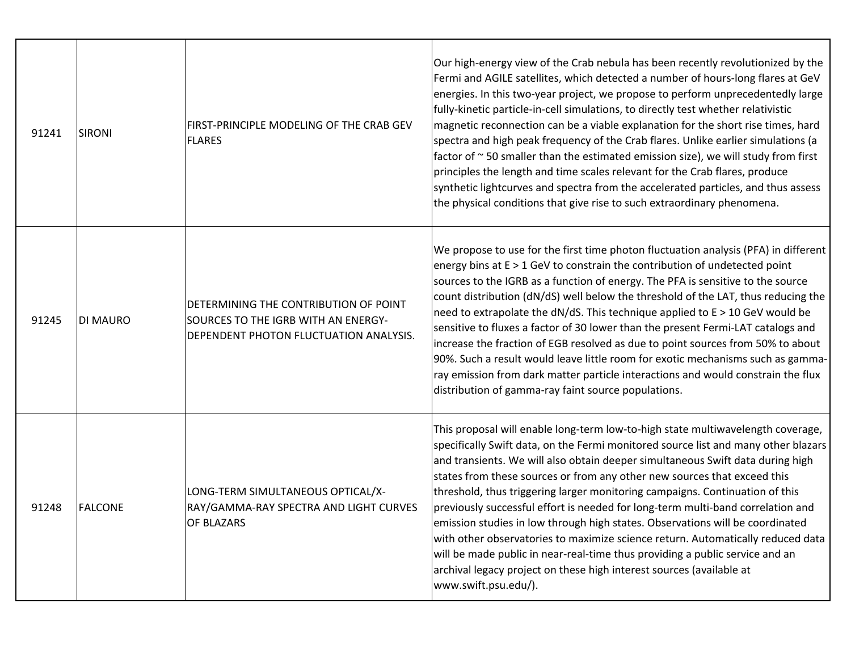| 91241 | SIRONI          | FIRST-PRINCIPLE MODELING OF THE CRAB GEV<br><b>FLARES</b>                                                              | Our high-energy view of the Crab nebula has been recently revolutionized by the<br>Fermi and AGILE satellites, which detected a number of hours-long flares at GeV<br>energies. In this two-year project, we propose to perform unprecedentedly large<br>fully-kinetic particle-in-cell simulations, to directly test whether relativistic<br>magnetic reconnection can be a viable explanation for the short rise times, hard<br>spectra and high peak frequency of the Crab flares. Unlike earlier simulations (a<br>factor of $\sim$ 50 smaller than the estimated emission size), we will study from first<br>principles the length and time scales relevant for the Crab flares, produce<br>synthetic lightcurves and spectra from the accelerated particles, and thus assess<br>the physical conditions that give rise to such extraordinary phenomena. |
|-------|-----------------|------------------------------------------------------------------------------------------------------------------------|---------------------------------------------------------------------------------------------------------------------------------------------------------------------------------------------------------------------------------------------------------------------------------------------------------------------------------------------------------------------------------------------------------------------------------------------------------------------------------------------------------------------------------------------------------------------------------------------------------------------------------------------------------------------------------------------------------------------------------------------------------------------------------------------------------------------------------------------------------------|
| 91245 | <b>DI MAURO</b> | DETERMINING THE CONTRIBUTION OF POINT<br>SOURCES TO THE IGRB WITH AN ENERGY-<br>DEPENDENT PHOTON FLUCTUATION ANALYSIS. | We propose to use for the first time photon fluctuation analysis (PFA) in different<br>energy bins at $E > 1$ GeV to constrain the contribution of undetected point<br>sources to the IGRB as a function of energy. The PFA is sensitive to the source<br>count distribution (dN/dS) well below the threshold of the LAT, thus reducing the<br>need to extrapolate the dN/dS. This technique applied to E > 10 GeV would be<br>sensitive to fluxes a factor of 30 lower than the present Fermi-LAT catalogs and<br>increase the fraction of EGB resolved as due to point sources from 50% to about<br>90%. Such a result would leave little room for exotic mechanisms such as gamma-<br>ray emission from dark matter particle interactions and would constrain the flux<br>distribution of gamma-ray faint source populations.                              |
| 91248 | FALCONE         | LONG-TERM SIMULTANEOUS OPTICAL/X-<br>RAY/GAMMA-RAY SPECTRA AND LIGHT CURVES<br>OF BLAZARS                              | This proposal will enable long-term low-to-high state multiwavelength coverage,<br>specifically Swift data, on the Fermi monitored source list and many other blazars<br>and transients. We will also obtain deeper simultaneous Swift data during high<br>states from these sources or from any other new sources that exceed this<br>threshold, thus triggering larger monitoring campaigns. Continuation of this<br>previously successful effort is needed for long-term multi-band correlation and<br>emission studies in low through high states. Observations will be coordinated<br>with other observatories to maximize science return. Automatically reduced data<br>will be made public in near-real-time thus providing a public service and an<br>archival legacy project on these high interest sources (available at<br>www.swift.psu.edu/).    |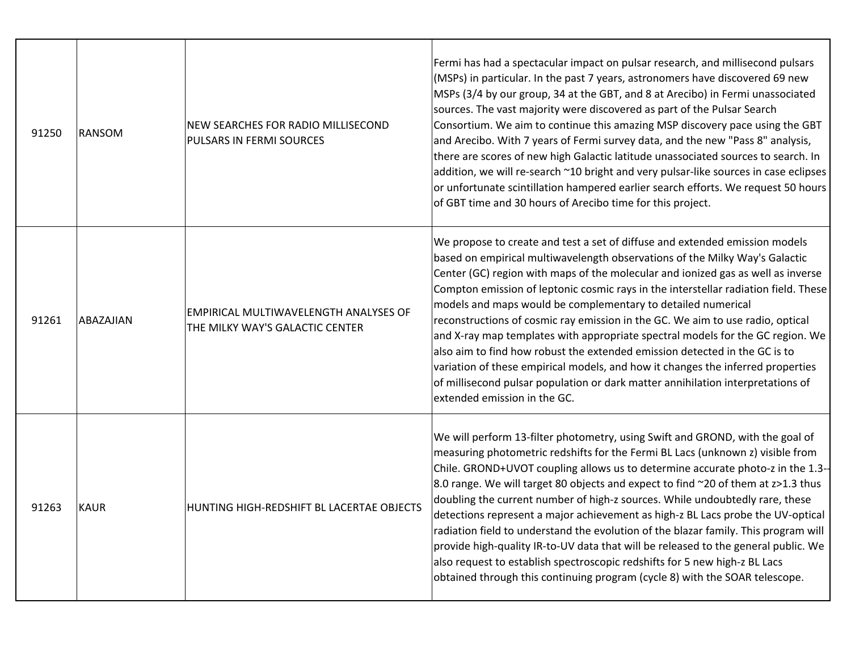| 91250 | <b>RANSOM</b> | NEW SEARCHES FOR RADIO MILLISECOND<br>PULSARS IN FERMI SOURCES           | Fermi has had a spectacular impact on pulsar research, and millisecond pulsars<br>(MSPs) in particular. In the past 7 years, astronomers have discovered 69 new<br>MSPs (3/4 by our group, 34 at the GBT, and 8 at Arecibo) in Fermi unassociated<br>sources. The vast majority were discovered as part of the Pulsar Search<br>Consortium. We aim to continue this amazing MSP discovery pace using the GBT<br>and Arecibo. With 7 years of Fermi survey data, and the new "Pass 8" analysis,<br>there are scores of new high Galactic latitude unassociated sources to search. In<br>addition, we will re-search ~10 bright and very pulsar-like sources in case eclipses<br>or unfortunate scintillation hampered earlier search efforts. We request 50 hours<br>of GBT time and 30 hours of Arecibo time for this project.                                |
|-------|---------------|--------------------------------------------------------------------------|---------------------------------------------------------------------------------------------------------------------------------------------------------------------------------------------------------------------------------------------------------------------------------------------------------------------------------------------------------------------------------------------------------------------------------------------------------------------------------------------------------------------------------------------------------------------------------------------------------------------------------------------------------------------------------------------------------------------------------------------------------------------------------------------------------------------------------------------------------------|
| 91261 | ABAZAJIAN     | EMPIRICAL MULTIWAVELENGTH ANALYSES OF<br>THE MILKY WAY'S GALACTIC CENTER | We propose to create and test a set of diffuse and extended emission models<br>based on empirical multiwavelength observations of the Milky Way's Galactic<br>Center (GC) region with maps of the molecular and ionized gas as well as inverse<br>Compton emission of leptonic cosmic rays in the interstellar radiation field. These<br>models and maps would be complementary to detailed numerical<br>reconstructions of cosmic ray emission in the GC. We aim to use radio, optical<br>and X-ray map templates with appropriate spectral models for the GC region. We<br>also aim to find how robust the extended emission detected in the GC is to<br>variation of these empirical models, and how it changes the inferred properties<br>of millisecond pulsar population or dark matter annihilation interpretations of<br>extended emission in the GC. |
| 91263 | <b>KAUR</b>   | HUNTING HIGH-REDSHIFT BL LACERTAE OBJECTS                                | We will perform 13-filter photometry, using Swift and GROND, with the goal of<br>measuring photometric redshifts for the Fermi BL Lacs (unknown z) visible from<br>Chile. GROND+UVOT coupling allows us to determine accurate photo-z in the 1.3--<br>8.0 range. We will target 80 objects and expect to find ~20 of them at z>1.3 thus<br>doubling the current number of high-z sources. While undoubtedly rare, these<br>detections represent a major achievement as high-z BL Lacs probe the UV-optical<br>radiation field to understand the evolution of the blazar family. This program will<br>provide high-quality IR-to-UV data that will be released to the general public. We<br>also request to establish spectroscopic redshifts for 5 new high-z BL Lacs<br>obtained through this continuing program (cycle 8) with the SOAR telescope.          |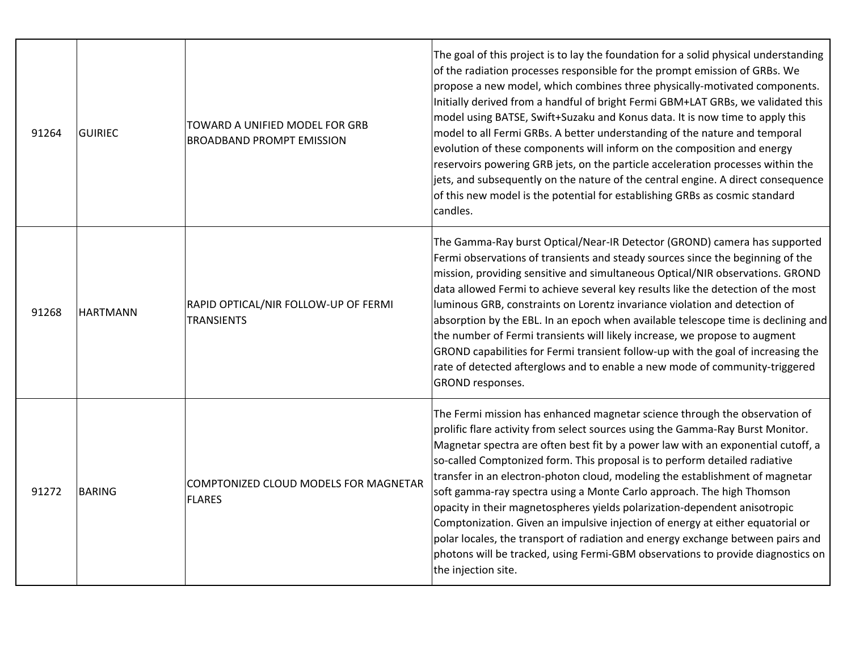| 91264 | <b>GUIRIEC</b>  | TOWARD A UNIFIED MODEL FOR GRB<br><b>BROADBAND PROMPT EMISSION</b> | The goal of this project is to lay the foundation for a solid physical understanding<br>of the radiation processes responsible for the prompt emission of GRBs. We<br>propose a new model, which combines three physically-motivated components.<br>Initially derived from a handful of bright Fermi GBM+LAT GRBs, we validated this<br>model using BATSE, Swift+Suzaku and Konus data. It is now time to apply this<br>model to all Fermi GRBs. A better understanding of the nature and temporal<br>evolution of these components will inform on the composition and energy<br>reservoirs powering GRB jets, on the particle acceleration processes within the<br>jets, and subsequently on the nature of the central engine. A direct consequence<br>of this new model is the potential for establishing GRBs as cosmic standard<br>candles.     |
|-------|-----------------|--------------------------------------------------------------------|-----------------------------------------------------------------------------------------------------------------------------------------------------------------------------------------------------------------------------------------------------------------------------------------------------------------------------------------------------------------------------------------------------------------------------------------------------------------------------------------------------------------------------------------------------------------------------------------------------------------------------------------------------------------------------------------------------------------------------------------------------------------------------------------------------------------------------------------------------|
| 91268 | <b>HARTMANN</b> | RAPID OPTICAL/NIR FOLLOW-UP OF FERMI<br><b>TRANSIENTS</b>          | The Gamma-Ray burst Optical/Near-IR Detector (GROND) camera has supported<br>Fermi observations of transients and steady sources since the beginning of the<br>mission, providing sensitive and simultaneous Optical/NIR observations. GROND<br>data allowed Fermi to achieve several key results like the detection of the most<br>luminous GRB, constraints on Lorentz invariance violation and detection of<br>absorption by the EBL. In an epoch when available telescope time is declining and<br>the number of Fermi transients will likely increase, we propose to augment<br>GROND capabilities for Fermi transient follow-up with the goal of increasing the<br>rate of detected afterglows and to enable a new mode of community-triggered<br>GROND responses.                                                                            |
| 91272 | <b>BARING</b>   | COMPTONIZED CLOUD MODELS FOR MAGNETAR<br><b>FLARES</b>             | The Fermi mission has enhanced magnetar science through the observation of<br>prolific flare activity from select sources using the Gamma-Ray Burst Monitor.<br>Magnetar spectra are often best fit by a power law with an exponential cutoff, a<br>so-called Comptonized form. This proposal is to perform detailed radiative<br>transfer in an electron-photon cloud, modeling the establishment of magnetar<br>soft gamma-ray spectra using a Monte Carlo approach. The high Thomson<br>opacity in their magnetospheres yields polarization-dependent anisotropic<br>Comptonization. Given an impulsive injection of energy at either equatorial or<br>polar locales, the transport of radiation and energy exchange between pairs and<br>photons will be tracked, using Fermi-GBM observations to provide diagnostics on<br>the injection site. |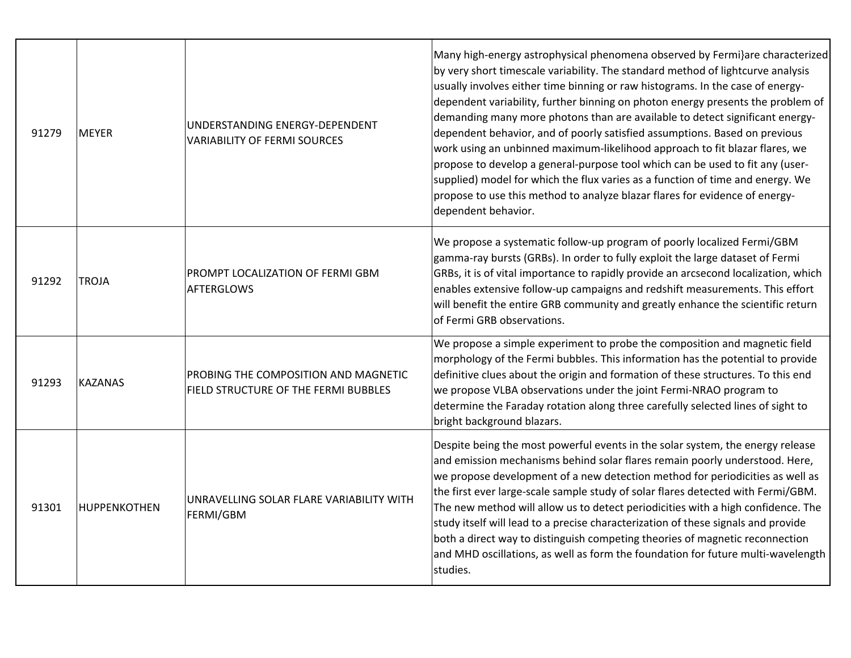| 91279 | <b>MEYER</b>   | UNDERSTANDING ENERGY-DEPENDENT<br><b>VARIABILITY OF FERMI SOURCES</b>        | Many high-energy astrophysical phenomena observed by Fermi}are characterized<br>by very short timescale variability. The standard method of lightcurve analysis<br>usually involves either time binning or raw histograms. In the case of energy-<br>dependent variability, further binning on photon energy presents the problem of<br>demanding many more photons than are available to detect significant energy-<br>dependent behavior, and of poorly satisfied assumptions. Based on previous<br>work using an unbinned maximum-likelihood approach to fit blazar flares, we<br>propose to develop a general-purpose tool which can be used to fit any (user-<br>supplied) model for which the flux varies as a function of time and energy. We<br>propose to use this method to analyze blazar flares for evidence of energy-<br>dependent behavior. |
|-------|----------------|------------------------------------------------------------------------------|------------------------------------------------------------------------------------------------------------------------------------------------------------------------------------------------------------------------------------------------------------------------------------------------------------------------------------------------------------------------------------------------------------------------------------------------------------------------------------------------------------------------------------------------------------------------------------------------------------------------------------------------------------------------------------------------------------------------------------------------------------------------------------------------------------------------------------------------------------|
| 91292 | <b>TROJA</b>   | PROMPT LOCALIZATION OF FERMI GBM<br><b>AFTERGLOWS</b>                        | We propose a systematic follow-up program of poorly localized Fermi/GBM<br>gamma-ray bursts (GRBs). In order to fully exploit the large dataset of Fermi<br>GRBs, it is of vital importance to rapidly provide an arcsecond localization, which<br>enables extensive follow-up campaigns and redshift measurements. This effort<br>will benefit the entire GRB community and greatly enhance the scientific return<br>of Fermi GRB observations.                                                                                                                                                                                                                                                                                                                                                                                                           |
| 91293 | <b>KAZANAS</b> | PROBING THE COMPOSITION AND MAGNETIC<br>FIELD STRUCTURE OF THE FERMI BUBBLES | We propose a simple experiment to probe the composition and magnetic field<br>morphology of the Fermi bubbles. This information has the potential to provide<br>definitive clues about the origin and formation of these structures. To this end<br>we propose VLBA observations under the joint Fermi-NRAO program to<br>determine the Faraday rotation along three carefully selected lines of sight to<br>bright background blazars.                                                                                                                                                                                                                                                                                                                                                                                                                    |
| 91301 | HUPPENKOTHEN   | UNRAVELLING SOLAR FLARE VARIABILITY WITH<br>FERMI/GBM                        | Despite being the most powerful events in the solar system, the energy release<br>and emission mechanisms behind solar flares remain poorly understood. Here,<br>we propose development of a new detection method for periodicities as well as<br>the first ever large-scale sample study of solar flares detected with Fermi/GBM.<br>The new method will allow us to detect periodicities with a high confidence. The<br>study itself will lead to a precise characterization of these signals and provide<br>both a direct way to distinguish competing theories of magnetic reconnection<br>and MHD oscillations, as well as form the foundation for future multi-wavelength<br>studies.                                                                                                                                                                |